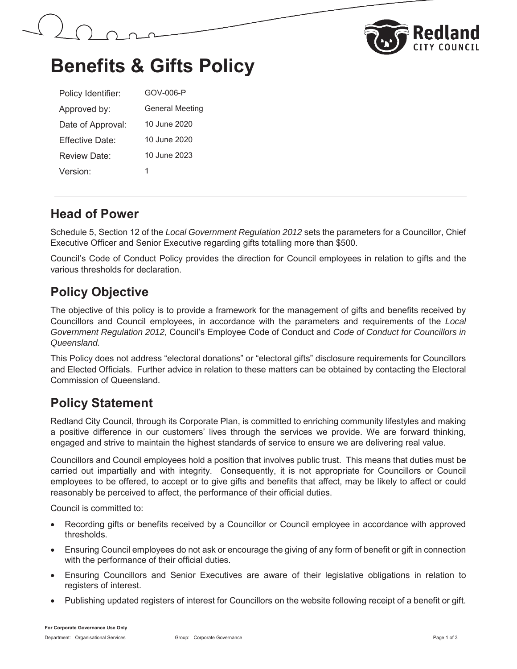



## **Benefits & Gifts Policy**

| Policy Identifier:   | GOV-006-P              |
|----------------------|------------------------|
| Approved by:         | <b>General Meeting</b> |
| Date of Approval:    | 10 June 2020           |
| Fffective Date:      | 10 June 2020           |
| Review Date:         | 10 June 2023           |
| Version <sup>.</sup> | 1                      |

#### **Head of Power**

Schedule 5, Section 12 of the *Local Government Regulation 2012* sets the parameters for a Councillor, Chief Executive Officer and Senior Executive regarding gifts totalling more than \$500.

Council's Code of Conduct Policy provides the direction for Council employees in relation to gifts and the various thresholds for declaration.

#### **Policy Objective**

The objective of this policy is to provide a framework for the management of gifts and benefits received by Councillors and Council employees, in accordance with the parameters and requirements of the *Local Government Regulation 2012*, Council's Employee Code of Conduct and *Code of Conduct for Councillors in Queensland.*

This Policy does not address "electoral donations" or "electoral gifts" disclosure requirements for Councillors and Elected Officials. Further advice in relation to these matters can be obtained by contacting the Electoral Commission of Queensland.

#### **Policy Statement**

Redland City Council, through its Corporate Plan, is committed to enriching community lifestyles and making a positive difference in our customers' lives through the services we provide. We are forward thinking, engaged and strive to maintain the highest standards of service to ensure we are delivering real value.

Councillors and Council employees hold a position that involves public trust. This means that duties must be carried out impartially and with integrity. Consequently, it is not appropriate for Councillors or Council employees to be offered, to accept or to give gifts and benefits that affect, may be likely to affect or could reasonably be perceived to affect, the performance of their official duties.

Council is committed to:

- Recording gifts or benefits received by a Councillor or Council employee in accordance with approved thresholds.
- Ensuring Council employees do not ask or encourage the giving of any form of benefit or gift in connection with the performance of their official duties.
- Ensuring Councillors and Senior Executives are aware of their legislative obligations in relation to registers of interest.
- Publishing updated registers of interest for Councillors on the website following receipt of a benefit or gift.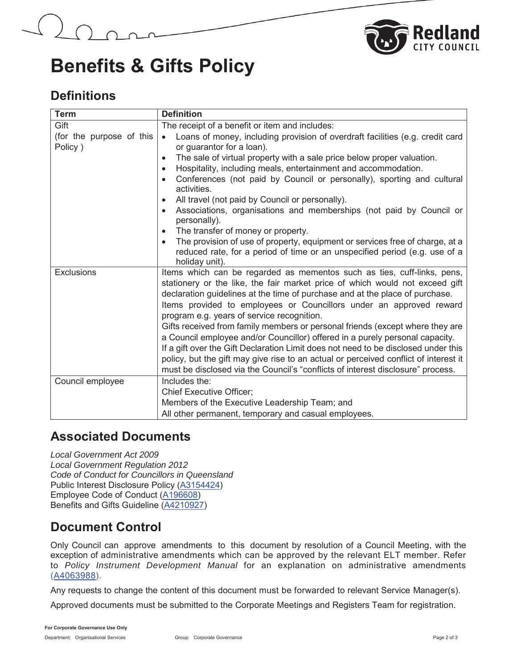



### **Benefits & Gifts Policy**

#### **Definitions**

| <b>Term</b>                         | <b>Definition</b>                                                                                                                                                                                                                                                                                                                                                                                                                                                                                                                                                                                                                                                                                                                                                                                                |  |
|-------------------------------------|------------------------------------------------------------------------------------------------------------------------------------------------------------------------------------------------------------------------------------------------------------------------------------------------------------------------------------------------------------------------------------------------------------------------------------------------------------------------------------------------------------------------------------------------------------------------------------------------------------------------------------------------------------------------------------------------------------------------------------------------------------------------------------------------------------------|--|
| Gift                                | The receipt of a benefit or item and includes:                                                                                                                                                                                                                                                                                                                                                                                                                                                                                                                                                                                                                                                                                                                                                                   |  |
| (for the purpose of this<br>Policy) | Loans of money, including provision of overdraft facilities (e.g. credit card<br>$\bullet$<br>or guarantor for a loan).<br>The sale of virtual property with a sale price below proper valuation.<br>$\bullet$<br>Hospitality, including meals, entertainment and accommodation.<br>$\bullet$<br>Conferences (not paid by Council or personally), sporting and cultural<br>$\bullet$<br>activities.<br>All travel (not paid by Council or personally).<br>$\bullet$<br>Associations, organisations and memberships (not paid by Council or<br>$\bullet$<br>personally).<br>The transfer of money or property.<br>$\bullet$<br>The provision of use of property, equipment or services free of charge, at a<br>$\bullet$<br>reduced rate, for a period of time or an unspecified period (e.g. use of a            |  |
| <b>Exclusions</b>                   | holiday unit).<br>Items which can be regarded as mementos such as ties, cuff-links, pens,<br>stationery or the like, the fair market price of which would not exceed gift<br>declaration guidelines at the time of purchase and at the place of purchase.<br>Items provided to employees or Councillors under an approved reward<br>program e.g. years of service recognition.<br>Gifts received from family members or personal friends (except where they are<br>a Council employee and/or Councillor) offered in a purely personal capacity.<br>If a gift over the Gift Declaration Limit does not need to be disclosed under this<br>policy, but the gift may give rise to an actual or perceived conflict of interest it<br>must be disclosed via the Council's "conflicts of interest disclosure" process. |  |
| Council employee                    | Includes the:<br><b>Chief Executive Officer;</b><br>Members of the Executive Leadership Team; and                                                                                                                                                                                                                                                                                                                                                                                                                                                                                                                                                                                                                                                                                                                |  |
|                                     | All other permanent, temporary and casual employees.                                                                                                                                                                                                                                                                                                                                                                                                                                                                                                                                                                                                                                                                                                                                                             |  |

#### **Associated Documents**

*Local Government Act 2009 Local Government Regulation 2012 Code of Conduct for Councillors in Queensland* Public Interest Disclosure Policy (A3154424) Employee Code of Conduct (A196608) Benefits and Gifts Guideline (A4210927)

### **Document Control**

Only Council can approve amendments to this document by resolution of a Council Meeting, with the exception of administrative amendments which can be approved by the relevant ELT member. Refer to *Policy Instrument Development Manual* for an explanation on administrative amendments (A4063988).

Any requests to change the content of this document must be forwarded to relevant Service Manager(s).

Approved documents must be submitted to the Corporate Meetings and Registers Team for registration.